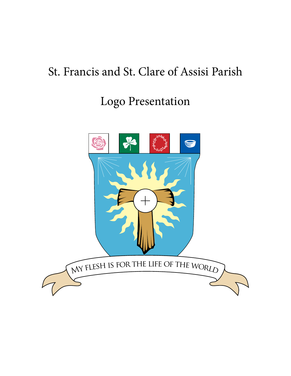### St. Francis and St. Clare of Assisi Parish

Logo Presentation

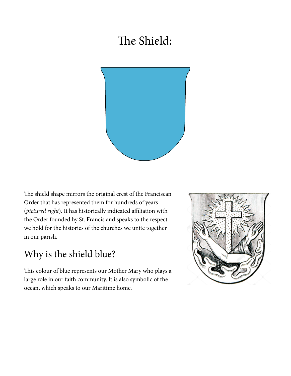## The Shield:



The shield shape mirrors the original crest of the Franciscan Order that has represented them for hundreds of years (*pictured right*). It has historically indicated affiliation with the Order founded by St. Francis and speaks to the respect we hold for the histories of the churches we unite together in our parish.

#### Why is the shield blue?

This colour of blue represents our Mother Mary who plays a large role in our faith community. It is also symbolic of the ocean, which speaks to our Maritime home.

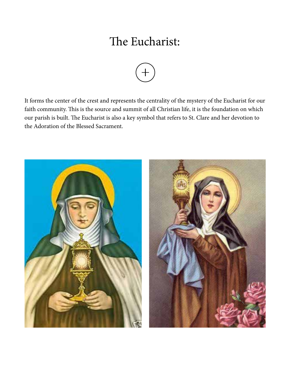### The Eucharist:



It forms the center of the crest and represents the centrality of the mystery of the Eucharist for our faith community. This is the source and summit of all Christian life, it is the foundation on which our parish is built. The Eucharist is also a key symbol that refers to St. Clare and her devotion to the Adoration of the Blessed Sacrament.

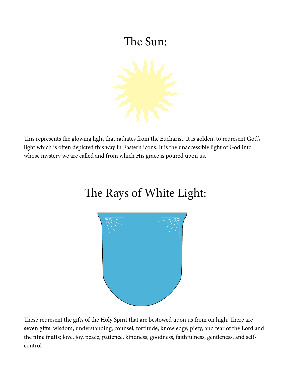### The Sun:



This represents the glowing light that radiates from the Eucharist. It is golden, to represent God's light which is often depicted this way in Eastern icons. It is the unaccessible light of God into whose mystery we are called and from which His grace is poured upon us.

## The Rays of White Light:



These represent the gifts of the Holy Spirit that are bestowed upon us from on high. There are **seven gifts**; wisdom, understanding, counsel, fortitude, knowledge, piety, and fear of the Lord and the **nine fruits**; love, joy, peace, patience, kindness, goodness, faithfulness, gentleness, and selfcontrol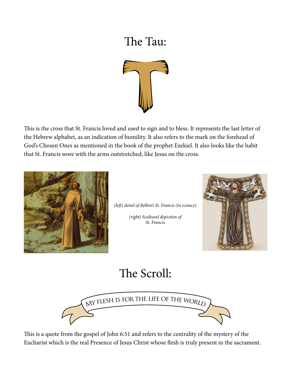### The Tau:



This is the cross that St. Francis loved and used to sign and to bless. It represents the last letter of the Hebrew alphabet, as an indication of humility. It also refers to the mark on the forehead of God's Chosen Ones as mentioned in the book of the prophet Ezekiel. It also looks like the habit that St. Francis wore with the arms outstretched, like Jesus on the cross.



*(left) detail of Bellini's St. Francis (in ecstacy) (right) Scultural depiction of St. Francis*



# The Scroll:



This is a quote from the gospel of John 6:51 and refers to the centrality of the mystery of the Eucharist which is the real Presence of Jesus Christ whose flesh is truly present in the sacrament.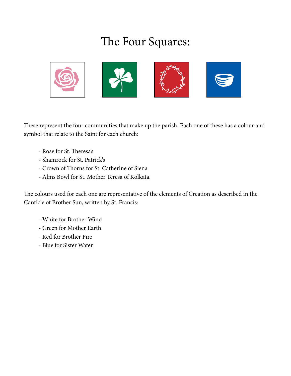# The Four Squares:



These represent the four communities that make up the parish. Each one of these has a colour and symbol that relate to the Saint for each church:

- Rose for St. Theresa's
- Shamrock for St. Patrick's
- Crown of Thorns for St. Catherine of Siena
- Alms Bowl for St. Mother Teresa of Kolkata.

The colours used for each one are representative of the elements of Creation as described in the Canticle of Brother Sun, written by St. Francis:

- White for Brother Wind
- Green for Mother Earth
- Red for Brother Fire
- Blue for Sister Water.